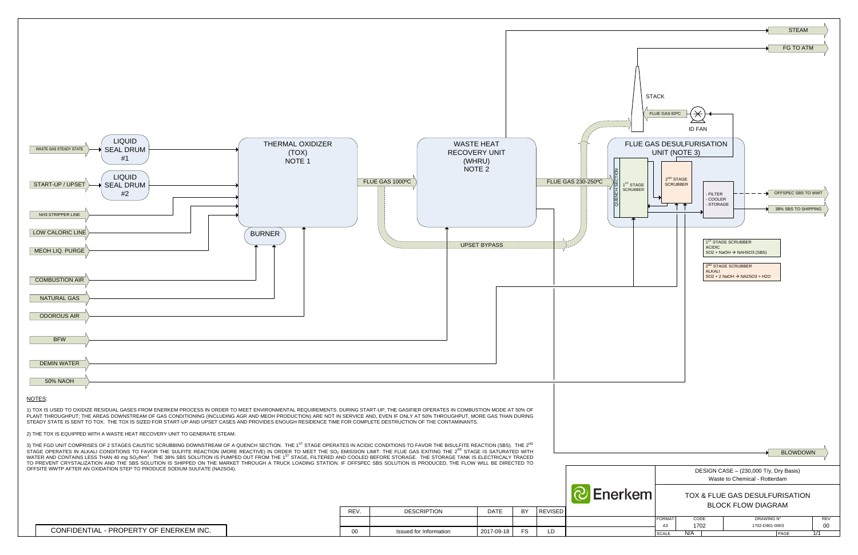

| CONFIDENTIAL - PROPERTY OF ENERKEM INC. |
|-----------------------------------------|
|-----------------------------------------|